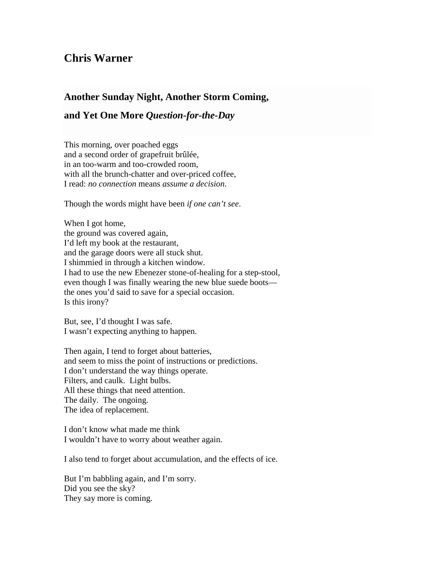## **Chris Warner**

## **Another Sunday Night, Another Storm Coming,**

## **and Yet One More** *Question-for-the-Day*

This morning, over poached eggs and a second order of grapefruit brûlée, in an too-warm and too-crowded room, with all the brunch-chatter and over-priced coffee, I read: *no connection* means *assume a decision*.

Though the words might have been *if one can't see*.

When I got home, the ground was covered again, I'd left my book at the restaurant, and the garage doors were all stuck shut. I shimmied in through a kitchen window. I had to use the new Ebenezer stone-of-healing for a step-stool, even though I was finally wearing the new blue suede boots the ones you'd said to save for a special occasion. Is this irony?

But, see, I'd thought I was safe. I wasn't expecting anything to happen.

Then again, I tend to forget about batteries, and seem to miss the point of instructions or predictions. I don't understand the way things operate. Filters, and caulk. Light bulbs. All these things that need attention. The daily. The ongoing. The idea of replacement.

I don't know what made me think I wouldn't have to worry about weather again.

I also tend to forget about accumulation, and the effects of ice.

But I'm babbling again, and I'm sorry. Did you see the sky? They say more is coming.